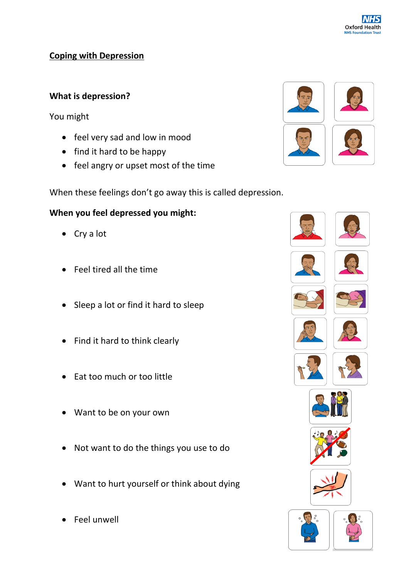

# **Coping with Depression**

# **What is depression?**

You might

- feel very sad and low in mood
- find it hard to be happy
- feel angry or upset most of the time



When these feelings don't go away this is called depression.

# **When you feel depressed you might:**

- Cry a lot
- Feel tired all the time
- Sleep a lot or find it hard to sleep
- Find it hard to think clearly
- Eat too much or too little
- Want to be on your own
- Not want to do the things you use to do
- Want to hurt yourself or think about dying
- Feel unwell

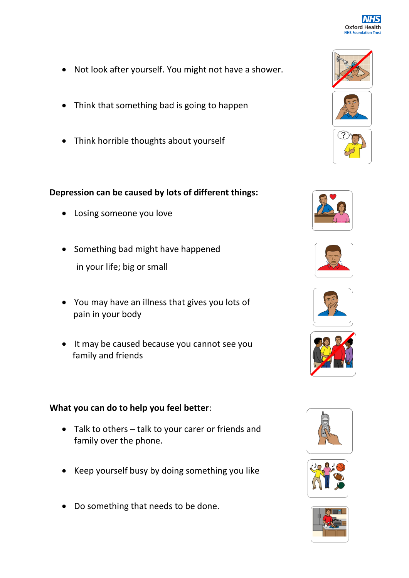

- Not look after yourself. You might not have a shower.
- Think that something bad is going to happen
- Think horrible thoughts about yourself

## **Depression can be caused by lots of different things:**

- Losing someone you love
- Something bad might have happened in your life; big or small
- You may have an illness that gives you lots of pain in your body
- It may be caused because you cannot see you family and friends

## **What you can do to help you feel better**:

- Talk to others talk to your carer or friends and family over the phone.
- Keep yourself busy by doing something you like
- Do something that needs to be done.















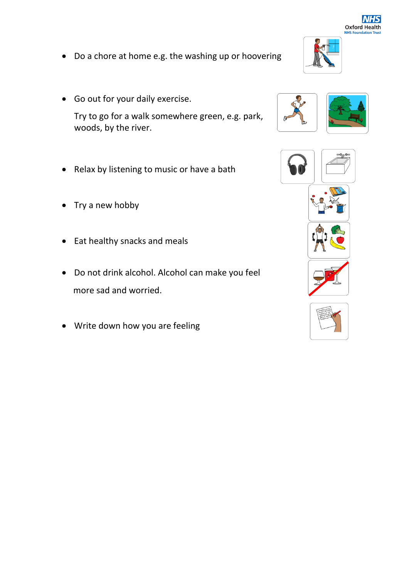

- Do a chore at home e.g. the washing up or hoovering
- Go out for your daily exercise.

Try to go for a walk somewhere green, e.g. park, woods, by the river.

- Relax by listening to music or have a bath
- Try a new hobby
- Eat healthy snacks and meals
- Do not drink alcohol. Alcohol can make you feel more sad and worried.
- Write down how you are feeling







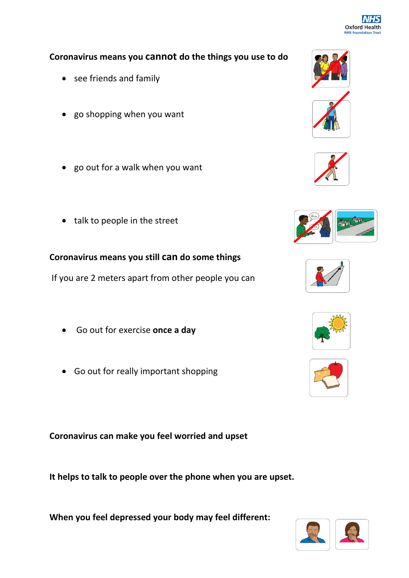

#### **Coronavirus means you cannot do the things you use to do**

- see friends and family
- go shopping when you want
- go out for a walk when you want
- talk to people in the street

## **Coronavirus means you still can do some things**

If you are 2 meters apart from other people you can

- Go out for exercise **once a day**
- Go out for really important shopping

**Coronavirus can make you feel worried and upset**

**It helps to talk to people over the phone when you are upset.**

**When you feel depressed your body may feel different:**















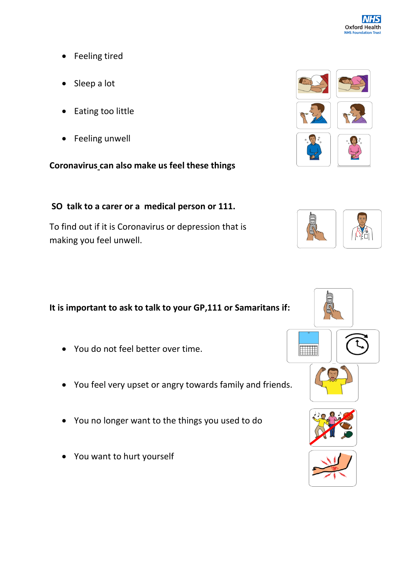

- Feeling tired
- Sleep a lot
- Eating too little
- Feeling unwell

**Coronavirus can also make us feel these things**

# **SO talk to a carer or a medical person or 111.**

To find out if it is Coronavirus or depression that is making you feel unwell.

# **It is important to ask to talk to your GP,111 or Samaritans if:**

- You do not feel better over time.
- You feel very upset or angry towards family and friends.
- You no longer want to the things you used to do
- You want to hurt yourself